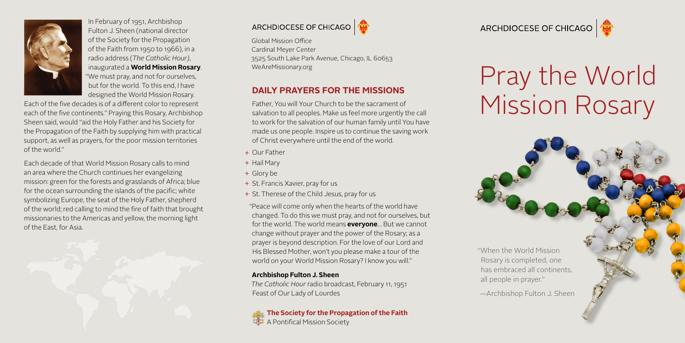

In February of 1951, Archbishop Fulton J. Sheen (national director of the Society for the Propagation of the Faith from 1950 to 1966), in a radio address (*The Catholic Hour)*, inaugurated a **World Mission Rosary**. "We must pray, and not for ourselves, but for the world. To this end, I have designed the World Mission Rosary.

Each of the five decades is of a different color to represent each of the five continents." Praying this Rosary, Archbishop Sheen said, would "aid the Holy Father and his Society for the Propagation of the Faith by supplying him with practical support, as well as prayers, for the poor mission territories of the world."

Each decade of that World Mission Rosary calls to mind an area where the Church continues her evangelizing mission: green for the forests and grasslands of Africa; blue for the ocean surrounding the islands of the pacific; white symbolizing Europe, the seat of the Holy Father, shepherd of the world; red calling to mind the fire of faith that brought missionaries to the Americas and yellow, the morning light of the East, for Asia.





Global Mission Office Cardinal Meyer Center 3525 South Lake Park Avenue, Chicago, IL 60653

## **DAILY PRAYERS FOR THE MISSIONS**

Father, You will Your Church to be the sacrament of salvation to all peoples. Make us feel more urgently the call to work for the salvation of our human family until You have made us one people. Inspire us to continue the saving work of Christ everywhere until the end of the world.

- + Our Father
- + Hail Mary
- + Glory be
- + St. Francis Xavier, pray for us
- + St. Therese of the Child Jesus, pray for us

"Peace will come only when the hearts of the world have changed. To do this we must pray, and not for ourselves, but for the world. The world means **everyone**… But we cannot change without prayer and the power of the Rosary; as a prayer is beyond description. For the love of our Lord and His Blessed Mother, won't you please make a tour of the world on your World Mission Rosary? I know you will."

#### **Archbishop Fulton J. Sheen**

*The Catholic Hour* radio broadcast, February 11, 1951 Feast of Our Lady of Lourdes

**[The Society for the Propagation of the Faith](http://www.worldmissionrosary.org)**  A Pontifical Mission Society

ARCHDIOCESE OF CHICAGO

# [WeAreMissionary.org](http://WeAreMissionary.org)<br>
DAILY PRAYERS FOR THE MISSIONS<br>
DAILY PRAYERS FOR THE MISSIONS Mission Rosary

"When the World Mission Rosary is completed, one has embraced all continents, all people in prayer."

—Archbishop Fulton J. Sheen